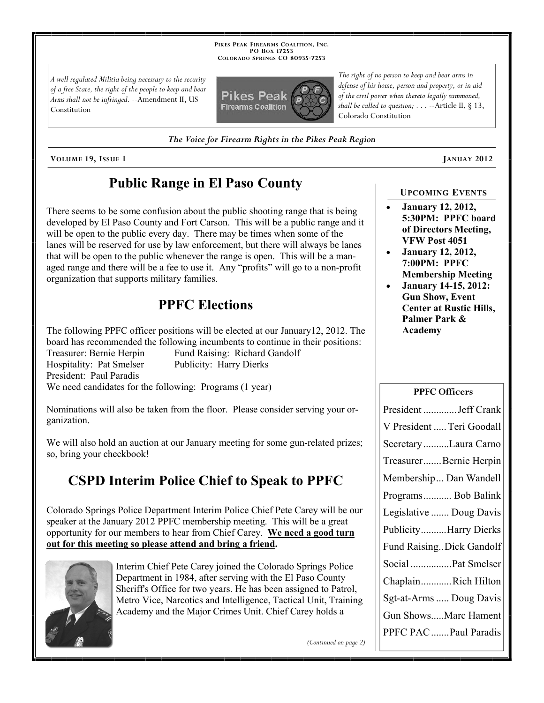**PIKES PEAK FIREARMS COALITION, INC. PO BOX 17253 COLORADO SPRINGS CO 80935 -7253**

*A well regulated Militia being necessary to the security of a free State, the right of the people to keep and bear Arms shall not be infringed.* --Amendment II, US Constitution



*The Voice for Firearm Rights in the Pikes Peak Region*

**VOLUME 19, ISSUE 1 JANUAY 2012**

# **Public Range in El Paso County**

There seems to be some confusion about the public shooting range that is being developed by El Paso County and Fort Carson. This will be a public range and it will be open to the public every day. There may be times when some of the lanes will be reserved for use by law enforcement, but there will always be lanes that will be open to the public whenever the range is open. This will be a managed range and there will be a fee to use it. Any "profits" will go to a non-profit organization that supports military families.

## **PPFC Elections**

The following PPFC officer positions will be elected at our January12, 2012. The board has recommended the following incumbents to continue in their positions: Treasurer: Bernie Herpin Fund Raising: Richard Gandolf Hospitality: Pat Smelser Publicity: Harry Dierks President: Paul Paradis We need candidates for the following: Programs (1 year)

Nominations will also be taken from the floor. Please consider serving your organization.

We will also hold an auction at our January meeting for some gun-related prizes; so, bring your checkbook!

# **CSPD Interim Police Chief to Speak to PPFC**

Colorado Springs Police Department Interim Police Chief Pete Carey will be our speaker at the January 2012 PPFC membership meeting. This will be a great opportunity for our members to hear from Chief Carey. **We need a good turn out for this meeting so please attend and bring a friend.**



Interim Chief Pete Carey joined the Colorado Springs Police Department in 1984, after serving with the El Paso County Sheriff's Office for two years. He has been assigned to Patrol, Metro Vice, Narcotics and Intelligence, Tactical Unit, Training Academy and the Major Crimes Unit. Chief Carey holds a

*(Continued on page 2)*

*The right of no person to keep and bear arms in defense of his home, person and property, or in aid of the civil power when thereto legally summoned, shall be called to question; . . .* --Article II, § 13, Colorado Constitution

### **UPCOMING EVENTS**

- **January 12, 2012, 5:30PM: PPFC board of Directors Meeting, VFW Post 4051**
- **January 12, 2012, 7:00PM: PPFC Membership Meeting**
- **January 14-15, 2012: Gun Show, Event Center at Rustic Hills, Palmer Park & Academy**

### **PPFC Officers**

| President  Jeff Crank     |
|---------------------------|
| V President  Teri Goodall |
| Secretary Laura Carno     |
| TreasurerBernie Herpin    |
| Membership Dan Wandell    |
| Programs Bob Balink       |
| Legislative  Doug Davis   |
| PublicityHarry Dierks     |
| Fund Raising Dick Gandolf |
| Social Pat Smelser        |
| ChaplainRich Hilton       |
| Sgt-at-Arms  Doug Davis   |
| Gun ShowsMarc Hament      |
| PPFC PAC  Paul Paradis    |